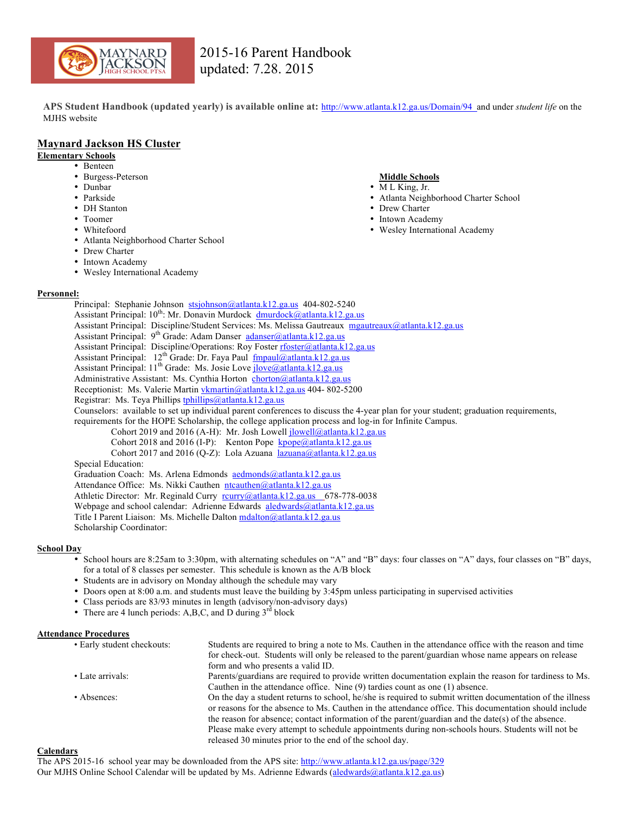

**APS Student Handbook (updated yearly) is available online at:** http://www.atlanta.k12.ga.us/Domain/94 and under *student life* on the MJHS website

## **Maynard Jackson HS Cluster**

## **Elementary Schools**

- Benteen
- Burgess-Peterson
- Dunbar
- Parkside
- DH Stanton
- Toomer
- Whitefoord
- Atlanta Neighborhood Charter School
- Drew Charter
- Intown Academy
- Wesley International Academy

## **Personnel:**

Principal: Stephanie Johnson stsjohnson@atlanta.k12.ga.us 404-802-5240 Assistant Principal:  $10^{th}$ : Mr. Donavin Murdock  $\frac{dmurlock(0, \alpha)$ atlanta.k12.ga.us Assistant Principal: Discipline/Student Services: Ms. Melissa Gautreaux mgautreaux@atlanta.k12.ga.us Assistant Principal:  $9^{th}$  Grade: Adam Danser adanser@atlanta.k12.ga.us Assistant Principal: Discipline/Operations: Roy Foster rfoster@atlanta.k12.ga.us Assistant Principal: 12<sup>th</sup> Grade: Dr. Faya Paul fmpaul@atlanta.k12.ga.us Assistant Principal: 11<sup>th</sup> Grade: Ms. Josie Love *jlove@atlanta.k12.ga.us* Administrative Assistant: Ms. Cynthia Horton chorton@atlanta.k12.ga.us Receptionist: Ms. Valerie Martin vkmartin@atlanta.k12.ga.us 404-802-5200 Registrar: Ms. Teya Phillips tphillips@atlanta.k12.ga.us Counselors: available to set up individual parent conferences to discuss the 4-year plan for your student; graduation requirements, requirements for the HOPE Scholarship, the college application process and log-in for Infinite Campus. Cohort 2019 and 2016 (A-H): Mr. Josh Lowell jlowell@atlanta.k12.ga.us Cohort 2018 and 2016 (I-P): Kenton Pope  $kpope@atlanta.k12.ga.us$ Cohort 2017 and 2016 (Q-Z): Lola Azuana lazuana@atlanta.k12.ga.us Special Education: Graduation Coach: Ms. Arlena Edmonds aedmonds@atlanta.k12.ga.us Attendance Office: Ms. Nikki Cauthen ntcauthen@atlanta.k12.ga.us Athletic Director: Mr. Reginald Curry rcurry@atlanta.k12.ga.us 678-778-0038 Webpage and school calendar: Adrienne Edwards aledwards@atlanta.k12.ga.us

Title I Parent Liaison: Ms. Michelle Dalton mdalton@atlanta.k12.ga.us Scholarship Coordinator:

## **School Day**

- School hours are 8:25am to 3:30pm, with alternating schedules on "A" and "B" days: four classes on "A" days, four classes on "B" days, for a total of 8 classes per semester. This schedule is known as the A/B block
- Students are in advisory on Monday although the schedule may vary
- Doors open at 8:00 a.m. and students must leave the building by 3:45pm unless participating in supervised activities
- Class periods are 83/93 minutes in length (advisory/non-advisory days)
- There are 4 lunch periods: A,B,C, and D during  $3<sup>rd</sup>$  block

#### **Attendance Procedures**

• Early student checkouts: Students are required to bring a note to Ms. Cauthen in the attendance office with the reason and time for check-out. Students will only be released to the parent/guardian whose name appears on release form and who presents a valid ID. • Late arrivals: Parents/guardians are required to provide written documentation explain the reason for tardiness to Ms. Cauthen in the attendance office. Nine (9) tardies count as one (1) absence. • Absences: On the day a student returns to school, he/she is required to submit written documentation of the illness or reasons for the absence to Ms. Cauthen in the attendance office. This documentation should include the reason for absence; contact information of the parent/guardian and the date(s) of the absence. Please make every attempt to schedule appointments during non-schools hours. Students will not be released 30 minutes prior to the end of the school day.

#### **Calendars**

## **Middle Schools**

- M L King, Jr.
- Atlanta Neighborhood Charter School
- Drew Charter
- Intown Academy
- Wesley International Academy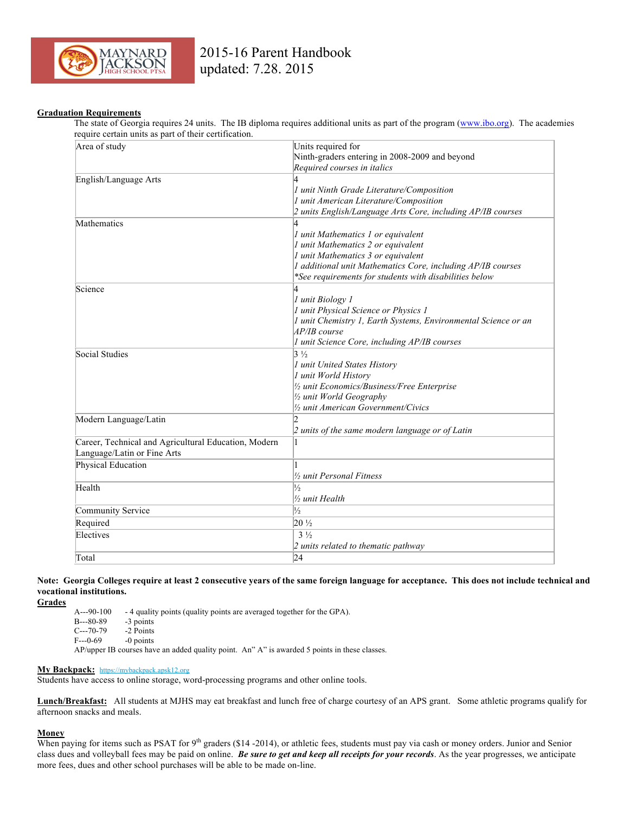

#### **Graduation Requirements**

The state of Georgia requires 24 units. The IB diploma requires additional units as part of the program (www.ibo.org). The academies require certain units as part of their certification.

| equire certain units as part or their certification  |                                                                |  |
|------------------------------------------------------|----------------------------------------------------------------|--|
| Area of study                                        | Units required for                                             |  |
|                                                      | Ninth-graders entering in 2008-2009 and beyond                 |  |
|                                                      | Required courses in italics                                    |  |
| English/Language Arts                                |                                                                |  |
|                                                      | 1 unit Ninth Grade Literature/Composition                      |  |
|                                                      | 1 unit American Literature/Composition                         |  |
|                                                      | 2 units English/Language Arts Core, including AP/IB courses    |  |
| Mathematics                                          |                                                                |  |
|                                                      | 1 unit Mathematics 1 or equivalent                             |  |
|                                                      | 1 unit Mathematics 2 or equivalent                             |  |
|                                                      | 1 unit Mathematics 3 or equivalent                             |  |
|                                                      | I additional unit Mathematics Core, including AP/IB courses    |  |
|                                                      | *See requirements for students with disabilities below         |  |
| Science                                              |                                                                |  |
|                                                      | 1 unit Biology 1                                               |  |
|                                                      |                                                                |  |
|                                                      | 1 unit Physical Science or Physics 1                           |  |
|                                                      | 1 unit Chemistry 1, Earth Systems, Environmental Science or an |  |
|                                                      | AP/IB course                                                   |  |
|                                                      | 1 unit Science Core, including AP/IB courses                   |  |
| Social Studies                                       | $3\frac{1}{2}$                                                 |  |
|                                                      | 1 unit United States History                                   |  |
|                                                      | 1 unit World History                                           |  |
|                                                      | 1/2 unit Economics/Business/Free Enterprise                    |  |
|                                                      | 1/2 unit World Geography                                       |  |
|                                                      | 1/ <sub>2</sub> unit American Government/Civics                |  |
| Modern Language/Latin                                | $\mathcal{D}$                                                  |  |
|                                                      | 2 units of the same modern language or of Latin                |  |
| Career, Technical and Agricultural Education, Modern |                                                                |  |
| Language/Latin or Fine Arts                          |                                                                |  |
| Physical Education                                   |                                                                |  |
|                                                      | 1/2 unit Personal Fitness                                      |  |
| Health                                               | $\frac{1}{2}$                                                  |  |
|                                                      | ½ unit Health                                                  |  |
|                                                      |                                                                |  |
| Community Service                                    | $\frac{1}{2}$                                                  |  |
| Required                                             | $20\frac{1}{2}$                                                |  |
| Electives                                            | $3\frac{1}{2}$                                                 |  |
|                                                      | 2 units related to thematic pathway                            |  |
| Total                                                | 24                                                             |  |

**Note: Georgia Colleges require at least 2 consecutive years of the same foreign language for acceptance. This does not include technical and vocational institutions.**

**Grades**

A---90-100 - 4 quality points (quality points are averaged together for the GPA).

B---80-89 -3 points

C---70-79 -2 Points

F---0-69 -0 points

AP/upper IB courses have an added quality point. An" A" is awarded 5 points in these classes.

#### **My Backpack:** https://mybackpack.apsk12.org

Students have access to online storage, word-processing programs and other online tools.

**Lunch/Breakfast:** All students at MJHS may eat breakfast and lunch free of charge courtesy of an APS grant. Some athletic programs qualify for afternoon snacks and meals.

## **Money**

When paying for items such as PSAT for  $9<sup>th</sup>$  graders (\$14 -2014), or athletic fees, students must pay via cash or money orders. Junior and Senior class dues and volleyball fees may be paid on online. *Be sure to get and keep all receipts for your records*. As the year progresses, we anticipate more fees, dues and other school purchases will be able to be made on-line.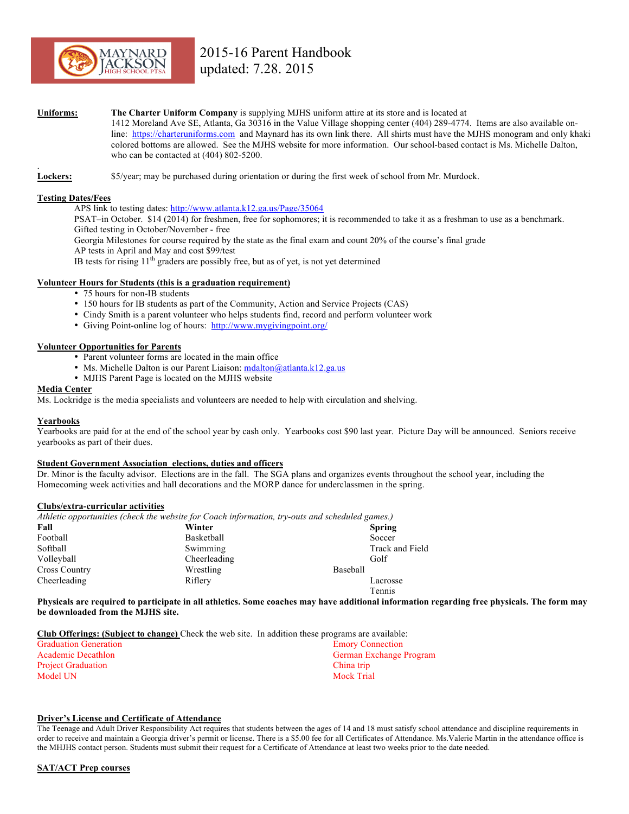

#### **Uniforms: The Charter Uniform Company** is supplying MJHS uniform attire at its store and is located at

1412 Moreland Ave SE, Atlanta, Ga 30316 in the Value Village shopping center (404) 289-4774. Items are also available online: https://charteruniforms.com and Maynard has its own link there. All shirts must have the MJHS monogram and only khaki colored bottoms are allowed. See the MJHS website for more information. Our school-based contact is Ms. Michelle Dalton, who can be contacted at (404) 802-5200.

. **Lockers:** \$5/year; may be purchased during orientation or during the first week of school from Mr. Murdock.

## **Testing Dates/Fees**

APS link to testing dates: http://www.atlanta.k12.ga.us/Page/35064

PSAT–in October. \$14 (2014) for freshmen, free for sophomores; it is recommended to take it as a freshman to use as a benchmark. Gifted testing in October/November - free

Georgia Milestones for course required by the state as the final exam and count 20% of the course's final grade

AP tests in April and May and cost \$99/test

IB tests for rising  $11<sup>th</sup>$  graders are possibly free, but as of yet, is not yet determined

#### **Volunteer Hours for Students (this is a graduation requirement)**

- 75 hours for non-IB students
- 150 hours for IB students as part of the Community, Action and Service Projects (CAS)
- Cindy Smith is a parent volunteer who helps students find, record and perform volunteer work
- Giving Point-online log of hours: http://www.mygivingpoint.org/

#### **Volunteer Opportunities for Parents**

- Parent volunteer forms are located in the main office
- Ms. Michelle Dalton is our Parent Liaison: mdalton@atlanta.k12.ga.us
- MJHS Parent Page is located on the MJHS website

#### **Media Center**

Ms. Lockridge is the media specialists and volunteers are needed to help with circulation and shelving.

#### **Yearbooks**

Yearbooks are paid for at the end of the school year by cash only. Yearbooks cost \$90 last year. Picture Day will be announced. Seniors receive yearbooks as part of their dues.

#### **Student Government Association elections, duties and officers**

Dr. Minor is the faculty advisor. Elections are in the fall. The SGA plans and organizes events throughout the school year, including the Homecoming week activities and hall decorations and the MORP dance for underclassmen in the spring.

#### **Clubs/extra-curricular activities**

*Athletic opportunities (check the website for Coach information, try-outs and scheduled games.)*

| Fall                 | Winter       | <b>Spring</b>   |
|----------------------|--------------|-----------------|
| Football             | Basketball   | Soccer          |
| Softball             | Swimming     | Track and Field |
| Volleyball           | Cheerleading | Golf            |
| <b>Cross Country</b> | Wrestling    | Baseball        |
| Cheerleading         | Riflery      | Lacrosse        |
|                      |              | Tennis          |

**Physicals are required to participate in all athletics. Some coaches may have additional information regarding free physicals. The form may be downloaded from the MJHS site.**

**Club Offerings: (Subject to change)** Check the web site. In addition these programs are available:

| <b>Emory Connection</b> |
|-------------------------|
| German Exchange Program |
| China trip              |
| Mock Trial              |
|                         |

#### **Driver's License and Certificate of Attendance**

The Teenage and Adult Driver Responsibility Act requires that students between the ages of 14 and 18 must satisfy school attendance and discipline requirements in order to receive and maintain a Georgia driver's permit or license. There is a \$5.00 fee for all Certificates of Attendance. Ms.Valerie Martin in the attendance office is the MHJHS contact person. Students must submit their request for a Certificate of Attendance at least two weeks prior to the date needed.

#### **SAT/ACT Prep courses**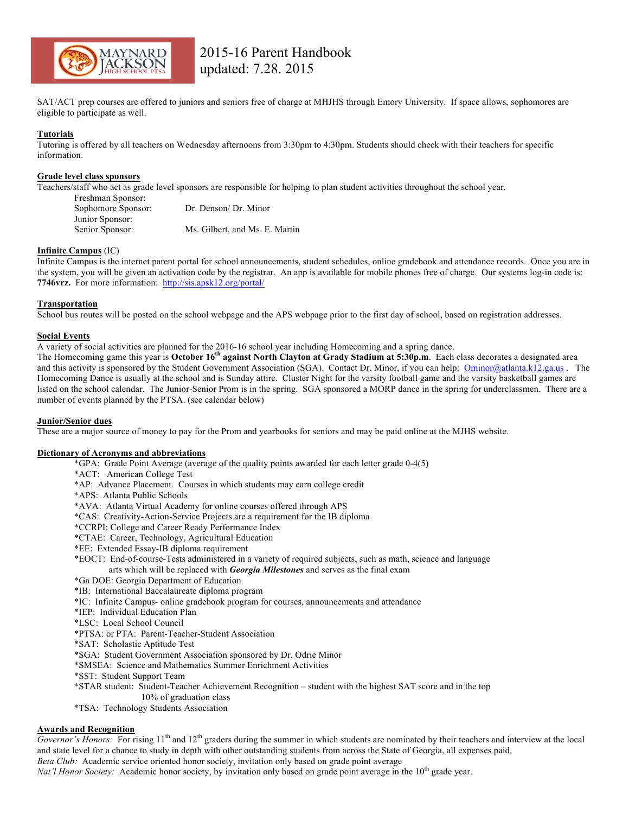

SAT/ACT prep courses are offered to juniors and seniors free of charge at MHJHS through Emory University. If space allows, sophomores are eligible to participate as well.

#### **Tutorials**

Tutoring is offered by all teachers on Wednesday afternoons from 3:30pm to 4:30pm. Students should check with their teachers for specific information.

#### **Grade level class sponsors**

Teachers/staff who act as grade level sponsors are responsible for helping to plan student activities throughout the school year.

| Dr. Denson/ Dr. Minor          |
|--------------------------------|
|                                |
| Ms. Gilbert, and Ms. E. Martin |
|                                |

#### **Infinite Campus** (IC)

Infinite Campus is the internet parent portal for school announcements, student schedules, online gradebook and attendance records. Once you are in the system, you will be given an activation code by the registrar. An app is available for mobile phones free of charge. Our systems log-in code is: **7746vrz.** For more information: http://sis.apsk12.org/portal/

#### **Transportation**

School bus routes will be posted on the school webpage and the APS webpage prior to the first day of school, based on registration addresses.

#### **Social Events**

A variety of social activities are planned for the 2016-16 school year including Homecoming and a spring dance.

The Homecoming game this year is **October 16th against North Clayton at Grady Stadium at 5:30p.m**. Each class decorates a designated area and this activity is sponsored by the Student Government Association (SGA). Contact Dr. Minor, if you can help:  $\frac{\text{Ominor@atlanta.k12.ga.us}}{\text{Ominor@atlanta.k12.ga.us}}$ . Homecoming Dance is usually at the school and is Sunday attire. Cluster Night for the varsity football game and the varsity basketball games are listed on the school calendar. The Junior-Senior Prom is in the spring. SGA sponsored a MORP dance in the spring for underclassmen. There are a number of events planned by the PTSA. (see calendar below)

#### **Junior/Senior dues**

These are a major source of money to pay for the Prom and yearbooks for seniors and may be paid online at the MJHS website.

## **Dictionary of Acronyms and abbreviations**

- \*GPA: Grade Point Average (average of the quality points awarded for each letter grade 0-4(5)
- \*ACT: American College Test
- \*AP: Advance Placement. Courses in which students may earn college credit
- \*APS: Atlanta Public Schools
- \*AVA: Atlanta Virtual Academy for online courses offered through APS
- \*CAS: Creativity-Action-Service Projects are a requirement for the IB diploma
- \*CCRPI: College and Career Ready Performance Index
- \*CTAE: Career, Technology, Agricultural Education
- \*EE: Extended Essay-IB diploma requirement
- \*EOCT: End-of-course-Tests administered in a variety of required subjects, such as math, science and language arts which will be replaced with *Georgia Milestones* and serves as the final exam
- \*Ga DOE: Georgia Department of Education
- \*IB: International Baccalaureate diploma program
- \*IC: Infinite Campus- online gradebook program for courses, announcements and attendance
- \*IEP: Individual Education Plan
- \*LSC: Local School Council
- \*PTSA: or PTA: Parent-Teacher-Student Association
- \*SAT: Scholastic Aptitude Test
- \*SGA: Student Government Association sponsored by Dr. Odrie Minor
- \*SMSEA: Science and Mathematics Summer Enrichment Activities
- \*SST: Student Support Team
- \*STAR student: Student-Teacher Achievement Recognition student with the highest SAT score and in the top
- 10% of graduation class
- \*TSA: Technology Students Association

## **Awards and Recognition**

*Governor's Honors:* For rising 11<sup>th</sup> and 12<sup>th</sup> graders during the summer in which students are nominated by their teachers and interview at the local and state level for a chance to study in depth with other outstanding students from across the State of Georgia, all expenses paid. *Beta Club:* Academic service oriented honor society, invitation only based on grade point average

*Nat'l Honor Society:* Academic honor society, by invitation only based on grade point average in the 10<sup>th</sup> grade year.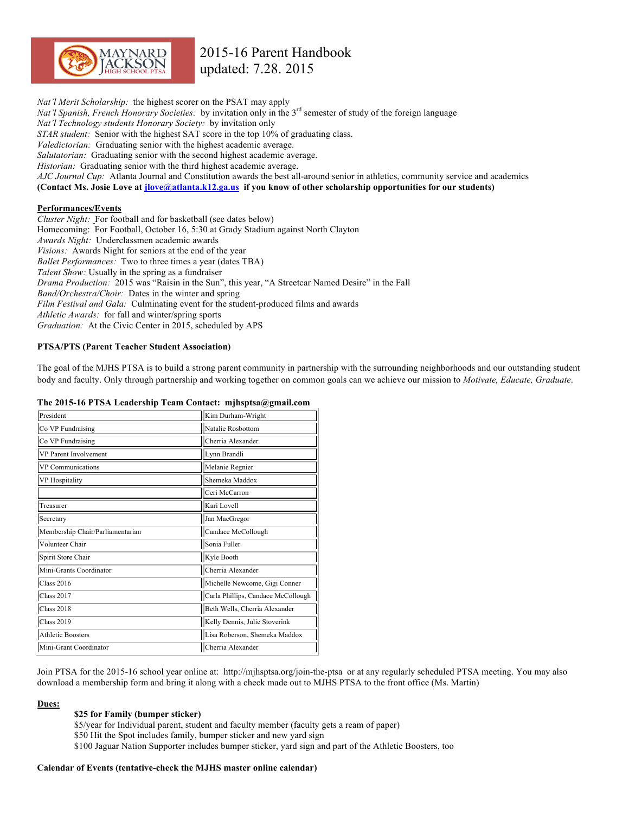

*Nat'l Merit Scholarship:* the highest scorer on the PSAT may apply *Nat'l Spanish, French Honorary Societies:* by invitation only in the 3<sup>rd</sup> semester of study of the foreign language *Nat'l Technology students Honorary Society:* by invitation only *STAR student:* Senior with the highest SAT score in the top 10% of graduating class. *Valedictorian:* Graduating senior with the highest academic average. *Salutatorian:* Graduating senior with the second highest academic average. *Historian:* Graduating senior with the third highest academic average. *AJC Journal Cup:* Atlanta Journal and Constitution awards the best all-around senior in athletics, community service and academics **(Contact Ms. Josie Love at jlove@atlanta.k12.ga.us if you know of other scholarship opportunities for our students)**

## **Performances/Events**

*Cluster Night:* For football and for basketball (see dates below) Homecoming: For Football, October 16, 5:30 at Grady Stadium against North Clayton *Awards Night:* Underclassmen academic awards *Visions:* Awards Night for seniors at the end of the year *Ballet Performances:* Two to three times a year (dates TBA) *Talent Show:* Usually in the spring as a fundraiser *Drama Production:* 2015 was "Raisin in the Sun", this year, "A Streetcar Named Desire" in the Fall *Band/Orchestra/Choir:* Dates in the winter and spring *Film Festival and Gala:* Culminating event for the student-produced films and awards *Athletic Awards:* for fall and winter/spring sports *Graduation:* At the Civic Center in 2015, scheduled by APS

#### **PTSA/PTS (Parent Teacher Student Association)**

The goal of the MJHS PTSA is to build a strong parent community in partnership with the surrounding neighborhoods and our outstanding student body and faculty. Only through partnership and working together on common goals can we achieve our mission to *Motivate, Educate, Graduate*.

#### **The 2015-16 PTSA Leadership Team Contact: mjhsptsa@gmail.com**

| President                        | Kim Durham-Wright                  |
|----------------------------------|------------------------------------|
| Co VP Fundraising                | Natalie Rosbottom                  |
| Co VP Fundraising                | Cherria Alexander                  |
| <b>VP</b> Parent Involvement     | Lynn Brandli                       |
| <b>VP Communications</b>         | Melanie Regnier                    |
| VP Hospitality                   | Shemeka Maddox                     |
|                                  | Ceri McCarron                      |
| Treasurer                        | Kari Lovell                        |
| Secretary                        | Jan MacGregor                      |
| Membership Chair/Parliamentarian | Candace McCollough                 |
| Volunteer Chair                  | Sonia Fuller                       |
| Spirit Store Chair               | Kyle Booth                         |
| Mini-Grants Coordinator          | Cherria Alexander                  |
| <b>Class 2016</b>                | Michelle Newcome, Gigi Conner      |
| <b>Class 2017</b>                | Carla Phillips, Candace McCollough |
| <b>Class 2018</b>                | Beth Wells, Cherria Alexander      |
| <b>Class 2019</b>                | Kelly Dennis, Julie Stoverink      |
| <b>Athletic Boosters</b>         | Lisa Roberson, Shemeka Maddox      |
| Mini-Grant Coordinator           | Cherria Alexander                  |

Join PTSA for the 2015-16 school year online at: http://mjhsptsa.org/join-the-ptsa or at any regularly scheduled PTSA meeting. You may also download a membership form and bring it along with a check made out to MJHS PTSA to the front office (Ms. Martin)

#### **Dues:**

#### **\$25 for Family (bumper sticker)**

\$5/year for Individual parent, student and faculty member (faculty gets a ream of paper) \$50 Hit the Spot includes family, bumper sticker and new yard sign \$100 Jaguar Nation Supporter includes bumper sticker, yard sign and part of the Athletic Boosters, too

#### **Calendar of Events (tentative-check the MJHS master online calendar)**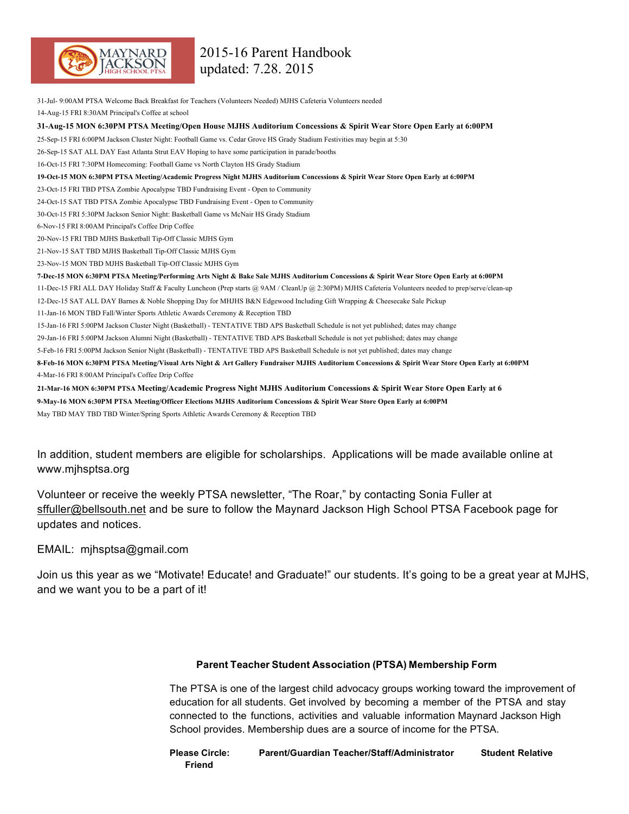

31-Jul- 9:00AM PTSA Welcome Back Breakfast for Teachers (Volunteers Needed) MJHS Cafeteria Volunteers needed 14-Aug-15 FRI 8:30AM Principal's Coffee at school **31-Aug-15 MON 6:30PM PTSA Meeting/Open House MJHS Auditorium Concessions & Spirit Wear Store Open Early at 6:00PM** 25-Sep-15 FRI 6:00PM Jackson Cluster Night: Football Game vs. Cedar Grove HS Grady Stadium Festivities may begin at 5:30 26-Sep-15 SAT ALL DAY East Atlanta Strut EAV Hoping to have some participation in parade/booths 16-Oct-15 FRI 7:30PM Homecoming: Football Game vs North Clayton HS Grady Stadium **19-Oct-15 MON 6:30PM PTSA Meeting/Academic Progress Night MJHS Auditorium Concessions & Spirit Wear Store Open Early at 6:00PM** 23-Oct-15 FRI TBD PTSA Zombie Apocalypse TBD Fundraising Event - Open to Community 24-Oct-15 SAT TBD PTSA Zombie Apocalypse TBD Fundraising Event - Open to Community 30-Oct-15 FRI 5:30PM Jackson Senior Night: Basketball Game vs McNair HS Grady Stadium 6-Nov-15 FRI 8:00AM Principal's Coffee Drip Coffee 20-Nov-15 FRI TBD MJHS Basketball Tip-Off Classic MJHS Gym 21-Nov-15 SAT TBD MJHS Basketball Tip-Off Classic MJHS Gym 23-Nov-15 MON TBD MJHS Basketball Tip-Off Classic MJHS Gym **7-Dec-15 MON 6:30PM PTSA Meeting/Performing Arts Night & Bake Sale MJHS Auditorium Concessions & Spirit Wear Store Open Early at 6:00PM** 11-Dec-15 FRI ALL DAY Holiday Staff & Faculty Luncheon (Prep starts @ 9AM / CleanUp @ 2:30PM) MJHS Cafeteria Volunteers needed to prep/serve/clean-up 12-Dec-15 SAT ALL DAY Barnes & Noble Shopping Day for MHJHS B&N Edgewood Including Gift Wrapping & Cheesecake Sale Pickup 11-Jan-16 MON TBD Fall/Winter Sports Athletic Awards Ceremony & Reception TBD 15-Jan-16 FRI 5:00PM Jackson Cluster Night (Basketball) - TENTATIVE TBD APS Basketball Schedule is not yet published; dates may change 29-Jan-16 FRI 5:00PM Jackson Alumni Night (Basketball) - TENTATIVE TBD APS Basketball Schedule is not yet published; dates may change 5-Feb-16 FRI 5:00PM Jackson Senior Night (Basketball) - TENTATIVE TBD APS Basketball Schedule is not yet published; dates may change **8-Feb-16 MON 6:30PM PTSA Meeting/Visual Arts Night & Art Gallery Fundraiser MJHS Auditorium Concessions & Spirit Wear Store Open Early at 6:00PM** 4-Mar-16 FRI 8:00AM Principal's Coffee Drip Coffee **21-Mar-16 MON 6:30PM PTSA Meeting/Academic Progress Night MJHS Auditorium Concessions & Spirit Wear Store Open Early at 6 9-May-16 MON 6:30PM PTSA Meeting/Officer Elections MJHS Auditorium Concessions & Spirit Wear Store Open Early at 6:00PM** May TBD MAY TBD TBD Winter/Spring Sports Athletic Awards Ceremony & Reception TBD

In addition, student members are eligible for scholarships. Applications will be made available online at www.mjhsptsa.org

Volunteer or receive the weekly PTSA newsletter, "The Roar," by contacting Sonia Fuller at sffuller@bellsouth.net and be sure to follow the Maynard Jackson High School PTSA Facebook page for updates and notices.

EMAIL: mjhsptsa@gmail.com

Join us this year as we "Motivate! Educate! and Graduate!" our students. It's going to be a great year at MJHS, and we want you to be a part of it!

## **Parent Teacher Student Association (PTSA) Membership Form**

The PTSA is one of the largest child advocacy groups working toward the improvement of education for all students. Get involved by becoming a member of the PTSA and stay connected to the functions, activities and valuable information Maynard Jackson High School provides. Membership dues are a source of income for the PTSA.

**Please Circle: Parent/Guardian Teacher/Staff/Administrator Student Relative Friend**